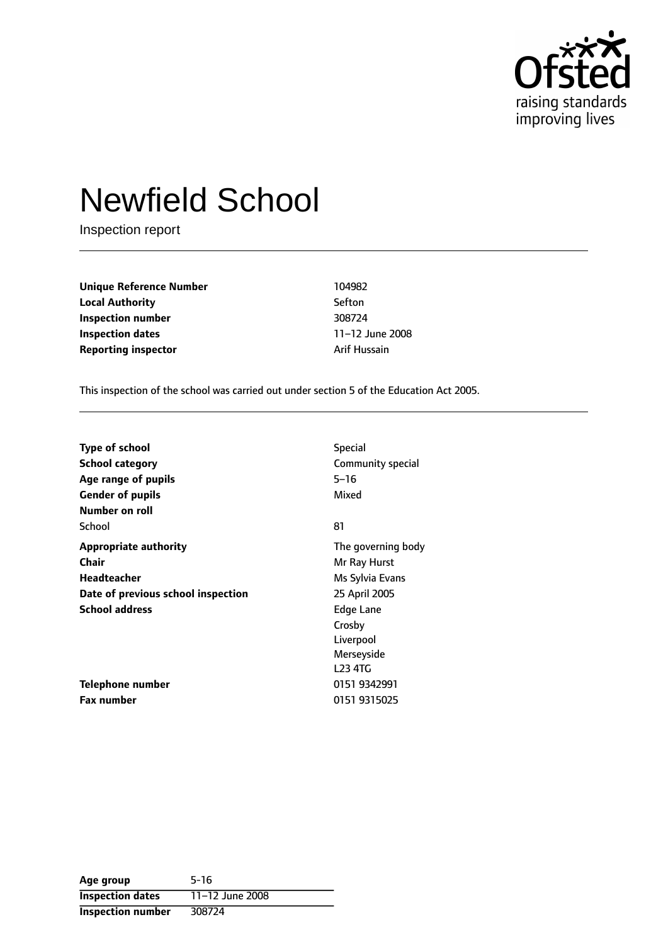

# Newfield School

Inspection report

**Unique Reference Number** 104982 **Local Authority** Sefton **Inspection number** 308724 **Inspection dates** 11-12 June 2008 **Reporting inspector Arif Hussain** 

This inspection of the school was carried out under section 5 of the Education Act 2005.

| <b>Type of school</b>              | <b>Special</b>     |
|------------------------------------|--------------------|
| <b>School category</b>             | Community special  |
| Age range of pupils                | $5 - 16$           |
| <b>Gender of pupils</b>            | Mixed              |
| Number on roll                     |                    |
| School                             | 81                 |
| <b>Appropriate authority</b>       | The governing body |
| Chair                              | Mr Ray Hurst       |
| <b>Headteacher</b>                 | Ms Sylvia Evans    |
| Date of previous school inspection | 25 April 2005      |
| <b>School address</b>              | <b>Edge Lane</b>   |
|                                    | Crosby             |
|                                    | Liverpool          |
|                                    | Merseyside         |
|                                    | <b>L23 4TG</b>     |
| Telephone number                   | 0151 9342991       |
| <b>Fax number</b>                  | 0151 9315025       |

| Age group                | $5-16$          |
|--------------------------|-----------------|
| <b>Inspection dates</b>  | 11-12 June 2008 |
| <b>Inspection number</b> | 308724          |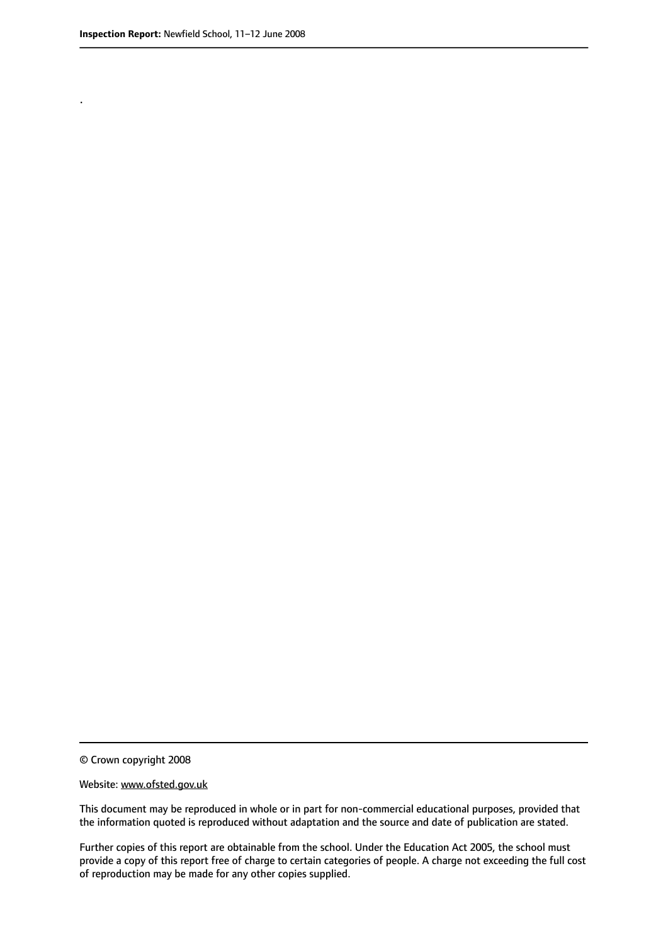.

© Crown copyright 2008

#### Website: www.ofsted.gov.uk

This document may be reproduced in whole or in part for non-commercial educational purposes, provided that the information quoted is reproduced without adaptation and the source and date of publication are stated.

Further copies of this report are obtainable from the school. Under the Education Act 2005, the school must provide a copy of this report free of charge to certain categories of people. A charge not exceeding the full cost of reproduction may be made for any other copies supplied.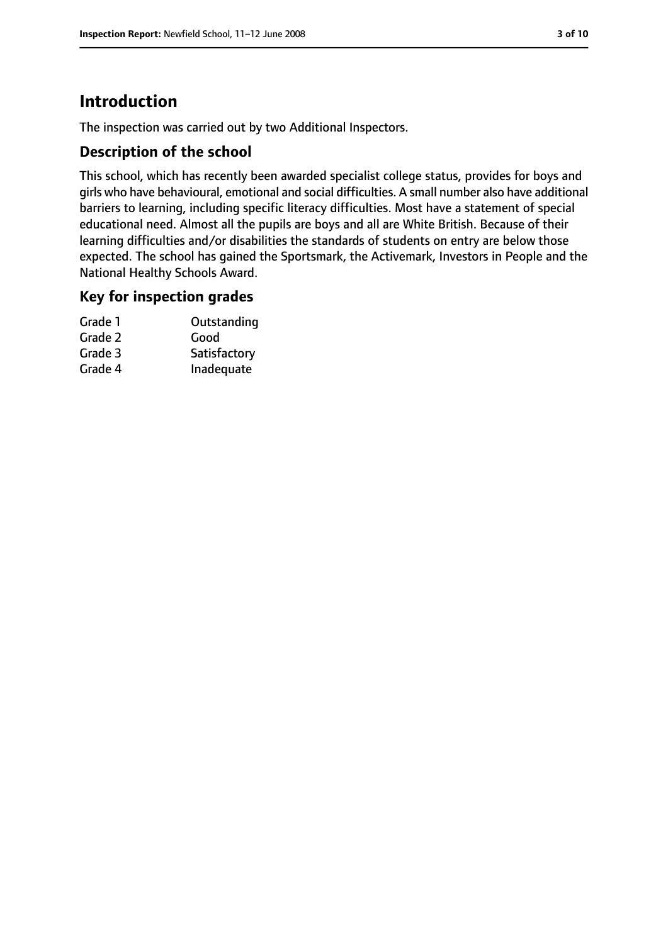# **Introduction**

The inspection was carried out by two Additional Inspectors.

## **Description of the school**

This school, which has recently been awarded specialist college status, provides for boys and girls who have behavioural, emotional and social difficulties. A small number also have additional barriers to learning, including specific literacy difficulties. Most have a statement of special educational need. Almost all the pupils are boys and all are White British. Because of their learning difficulties and/or disabilities the standards of students on entry are below those expected. The school has gained the Sportsmark, the Activemark, Investors in People and the National Healthy Schools Award.

## **Key for inspection grades**

| Grade 1 | Outstanding  |
|---------|--------------|
| Grade 2 | Good         |
| Grade 3 | Satisfactory |
| Grade 4 | Inadequate   |
|         |              |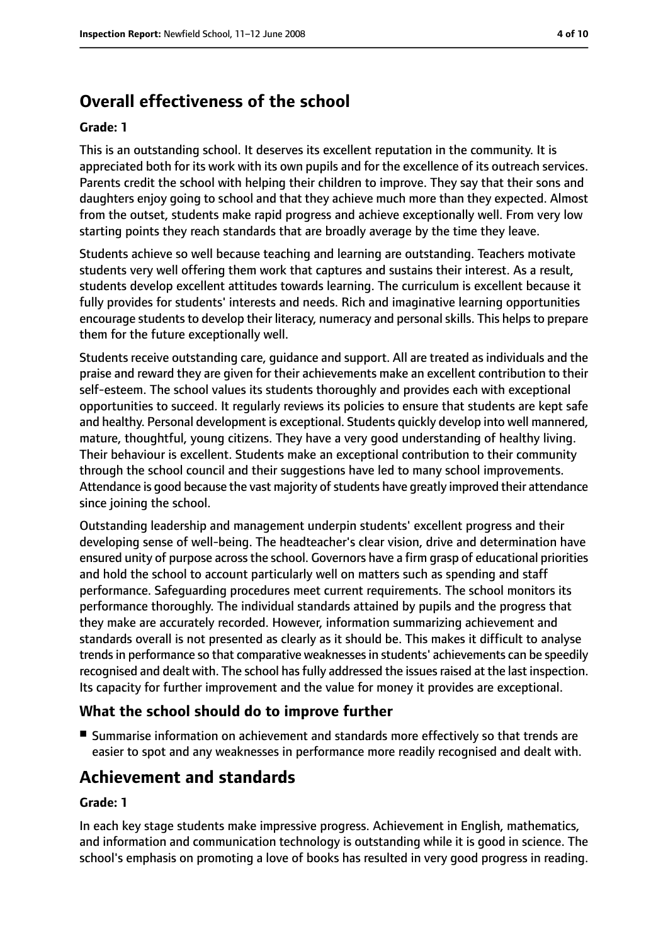# **Overall effectiveness of the school**

#### **Grade: 1**

This is an outstanding school. It deserves its excellent reputation in the community. It is appreciated both for its work with its own pupils and for the excellence of its outreach services. Parents credit the school with helping their children to improve. They say that their sons and daughters enjoy going to school and that they achieve much more than they expected. Almost from the outset, students make rapid progress and achieve exceptionally well. From very low starting points they reach standards that are broadly average by the time they leave.

Students achieve so well because teaching and learning are outstanding. Teachers motivate students very well offering them work that captures and sustains their interest. As a result, students develop excellent attitudes towards learning. The curriculum is excellent because it fully provides for students' interests and needs. Rich and imaginative learning opportunities encourage students to develop their literacy, numeracy and personal skills. This helps to prepare them for the future exceptionally well.

Students receive outstanding care, guidance and support. All are treated as individuals and the praise and reward they are given for their achievements make an excellent contribution to their self-esteem. The school values its students thoroughly and provides each with exceptional opportunities to succeed. It regularly reviews its policies to ensure that students are kept safe and healthy. Personal development is exceptional. Students quickly develop into well mannered, mature, thoughtful, young citizens. They have a very good understanding of healthy living. Their behaviour is excellent. Students make an exceptional contribution to their community through the school council and their suggestions have led to many school improvements. Attendance is good because the vast majority of students have greatly improved their attendance since joining the school.

Outstanding leadership and management underpin students' excellent progress and their developing sense of well-being. The headteacher's clear vision, drive and determination have ensured unity of purpose acrossthe school. Governors have a firm grasp of educational priorities and hold the school to account particularly well on matters such as spending and staff performance. Safeguarding procedures meet current requirements. The school monitors its performance thoroughly. The individual standards attained by pupils and the progress that they make are accurately recorded. However, information summarizing achievement and standards overall is not presented as clearly as it should be. This makes it difficult to analyse trends in performance so that comparative weaknesses in students' achievements can be speedily recognised and dealt with. The school has fully addressed the issues raised at the last inspection. Its capacity for further improvement and the value for money it provides are exceptional.

## **What the school should do to improve further**

■ Summarise information on achievement and standards more effectively so that trends are easier to spot and any weaknesses in performance more readily recognised and dealt with.

# **Achievement and standards**

#### **Grade: 1**

In each key stage students make impressive progress. Achievement in English, mathematics, and information and communication technology is outstanding while it is good in science. The school's emphasis on promoting a love of books has resulted in very good progress in reading.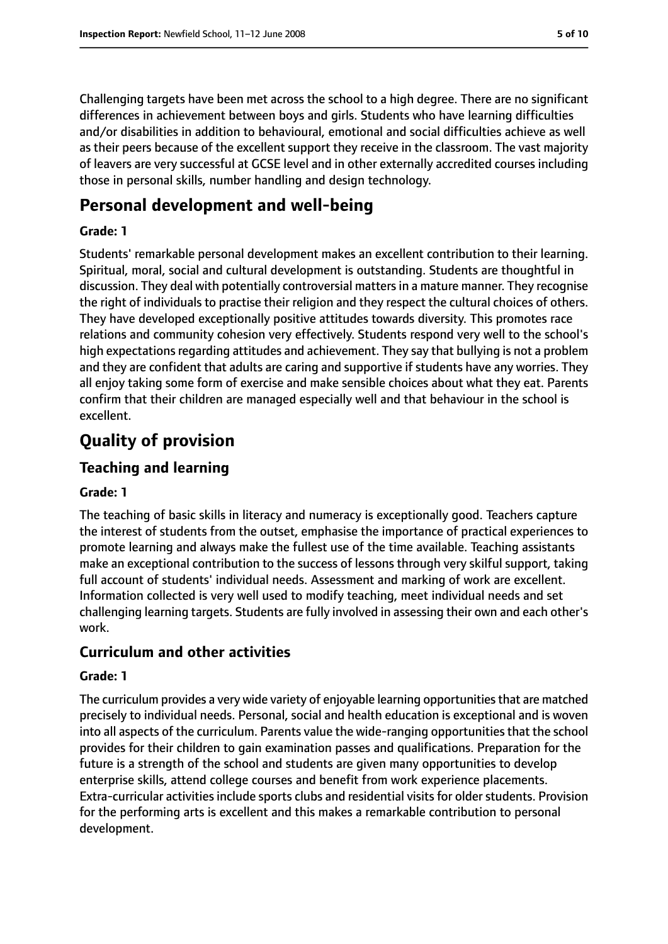Challenging targets have been met across the school to a high degree. There are no significant differences in achievement between boys and girls. Students who have learning difficulties and/or disabilities in addition to behavioural, emotional and social difficulties achieve as well as their peers because of the excellent support they receive in the classroom. The vast majority of leavers are very successful at GCSE level and in other externally accredited courses including those in personal skills, number handling and design technology.

# **Personal development and well-being**

#### **Grade: 1**

Students' remarkable personal development makes an excellent contribution to their learning. Spiritual, moral, social and cultural development is outstanding. Students are thoughtful in discussion. They deal with potentially controversial mattersin a mature manner. They recognise the right of individuals to practise their religion and they respect the cultural choices of others. They have developed exceptionally positive attitudes towards diversity. This promotes race relations and community cohesion very effectively. Students respond very well to the school's high expectations regarding attitudes and achievement. They say that bullying is not a problem and they are confident that adults are caring and supportive if students have any worries. They all enjoy taking some form of exercise and make sensible choices about what they eat. Parents confirm that their children are managed especially well and that behaviour in the school is excellent.

# **Quality of provision**

## **Teaching and learning**

#### **Grade: 1**

The teaching of basic skills in literacy and numeracy is exceptionally good. Teachers capture the interest of students from the outset, emphasise the importance of practical experiences to promote learning and always make the fullest use of the time available. Teaching assistants make an exceptional contribution to the success of lessons through very skilful support, taking full account of students' individual needs. Assessment and marking of work are excellent. Information collected is very well used to modify teaching, meet individual needs and set challenging learning targets. Students are fully involved in assessing their own and each other's work.

## **Curriculum and other activities**

#### **Grade: 1**

The curriculum provides a very wide variety of enjoyable learning opportunities that are matched precisely to individual needs. Personal, social and health education is exceptional and is woven into all aspects of the curriculum. Parents value the wide-ranging opportunities that the school provides for their children to gain examination passes and qualifications. Preparation for the future is a strength of the school and students are given many opportunities to develop enterprise skills, attend college courses and benefit from work experience placements. Extra-curricular activities include sports clubs and residential visits for older students. Provision for the performing arts is excellent and this makes a remarkable contribution to personal development.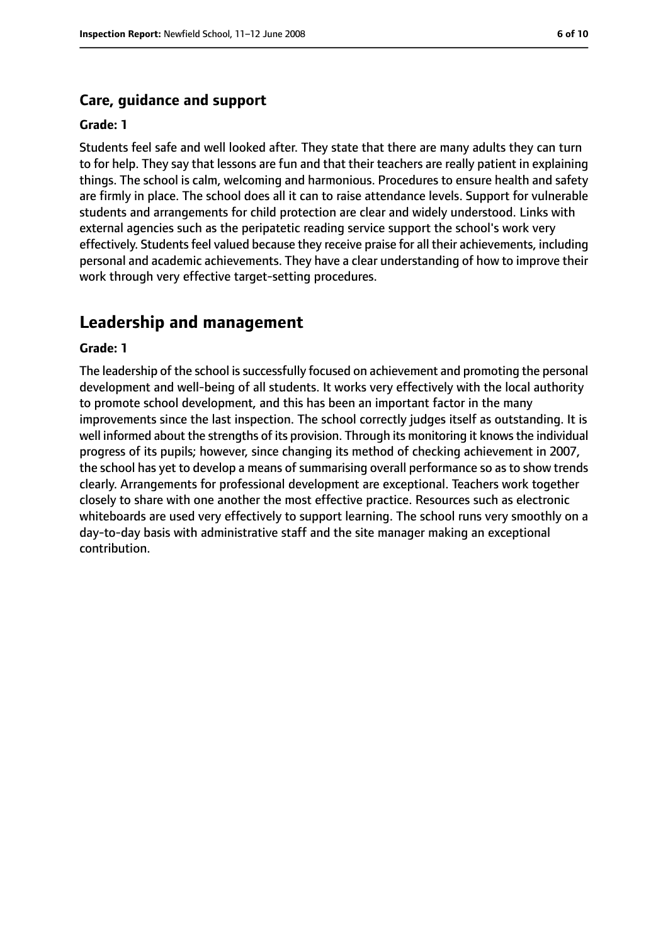### **Care, guidance and support**

#### **Grade: 1**

Students feel safe and well looked after. They state that there are many adults they can turn to for help. They say that lessons are fun and that their teachers are really patient in explaining things. The school is calm, welcoming and harmonious. Procedures to ensure health and safety are firmly in place. The school does all it can to raise attendance levels. Support for vulnerable students and arrangements for child protection are clear and widely understood. Links with external agencies such as the peripatetic reading service support the school's work very effectively. Students feel valued because they receive praise for all their achievements, including personal and academic achievements. They have a clear understanding of how to improve their work through very effective target-setting procedures.

# **Leadership and management**

#### **Grade: 1**

The leadership of the school is successfully focused on achievement and promoting the personal development and well-being of all students. It works very effectively with the local authority to promote school development, and this has been an important factor in the many improvements since the last inspection. The school correctly judges itself as outstanding. It is well informed about the strengths of its provision. Through its monitoring it knows the individual progress of its pupils; however, since changing its method of checking achievement in 2007, the school has yet to develop a means of summarising overall performance so as to show trends clearly. Arrangements for professional development are exceptional. Teachers work together closely to share with one another the most effective practice. Resources such as electronic whiteboards are used very effectively to support learning. The school runs very smoothly on a day-to-day basis with administrative staff and the site manager making an exceptional contribution.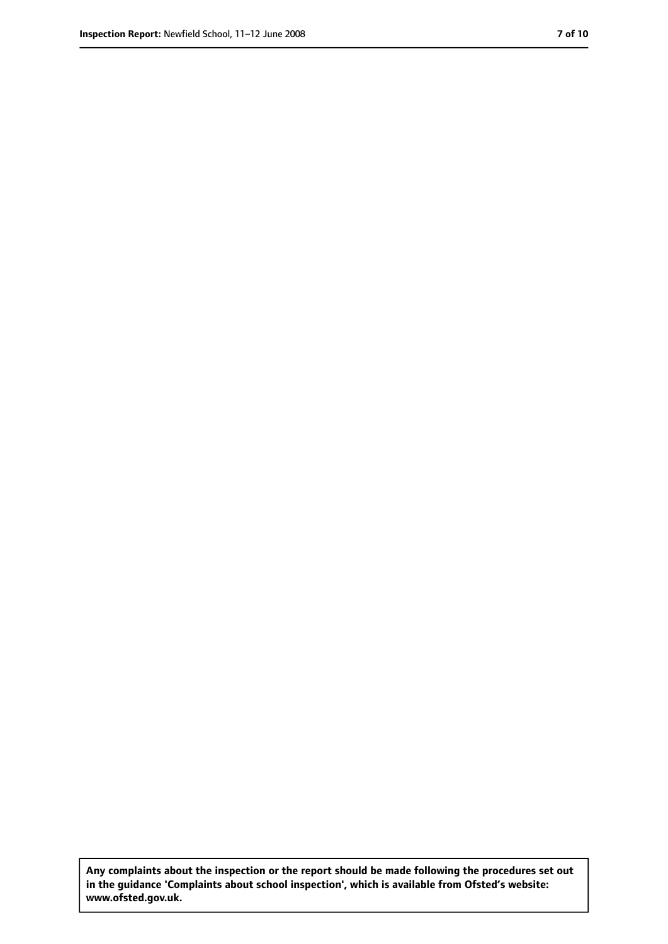**Any complaints about the inspection or the report should be made following the procedures set out in the guidance 'Complaints about school inspection', which is available from Ofsted's website: www.ofsted.gov.uk.**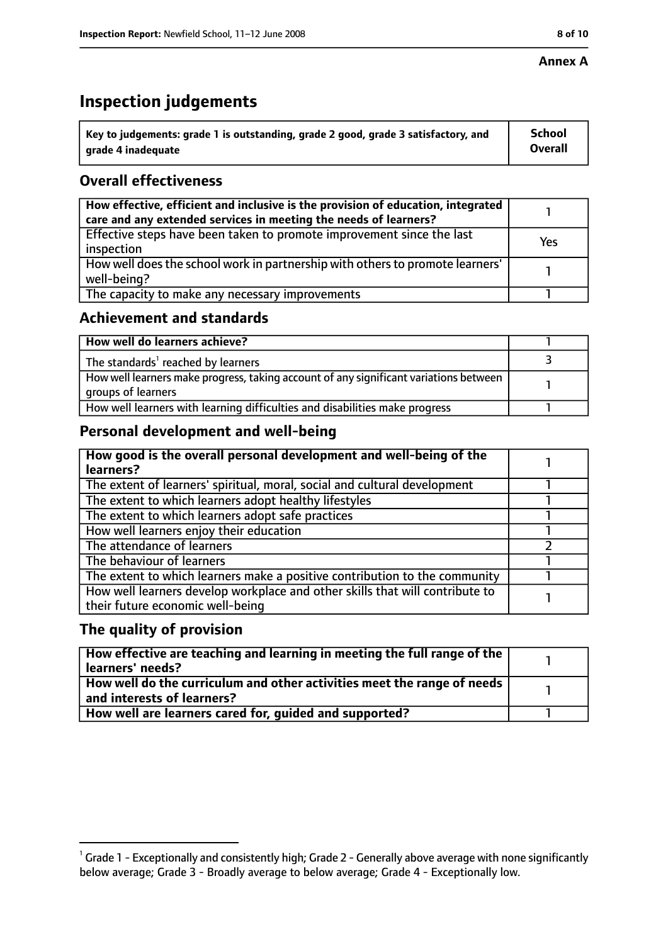#### **Annex A**

# **Inspection judgements**

| $\degree$ Key to judgements: grade 1 is outstanding, grade 2 good, grade 3 satisfactory, and | <b>School</b>  |
|----------------------------------------------------------------------------------------------|----------------|
| arade 4 inadeguate                                                                           | <b>Overall</b> |

# **Overall effectiveness**

| How effective, efficient and inclusive is the provision of education, integrated<br>care and any extended services in meeting the needs of learners? |     |
|------------------------------------------------------------------------------------------------------------------------------------------------------|-----|
| Effective steps have been taken to promote improvement since the last<br>inspection                                                                  | Yes |
| How well does the school work in partnership with others to promote learners'<br>well-being?                                                         |     |
| The capacity to make any necessary improvements                                                                                                      |     |

# **Achievement and standards**

| How well do learners achieve?                                                                               |  |
|-------------------------------------------------------------------------------------------------------------|--|
| The standards <sup>1</sup> reached by learners                                                              |  |
| How well learners make progress, taking account of any significant variations between<br>groups of learners |  |
| How well learners with learning difficulties and disabilities make progress                                 |  |

# **Personal development and well-being**

| How good is the overall personal development and well-being of the<br>learners?                                  |  |
|------------------------------------------------------------------------------------------------------------------|--|
| The extent of learners' spiritual, moral, social and cultural development                                        |  |
| The extent to which learners adopt healthy lifestyles                                                            |  |
| The extent to which learners adopt safe practices                                                                |  |
| How well learners enjoy their education                                                                          |  |
| The attendance of learners                                                                                       |  |
| The behaviour of learners                                                                                        |  |
| The extent to which learners make a positive contribution to the community                                       |  |
| How well learners develop workplace and other skills that will contribute to<br>their future economic well-being |  |

## **The quality of provision**

| $\mid$ How effective are teaching and learning in meeting the full range of the $\mid$<br>learners' needs? |  |
|------------------------------------------------------------------------------------------------------------|--|
| How well do the curriculum and other activities meet the range of needs  <br>and interests of learners?    |  |
| How well are learners cared for, guided and supported?                                                     |  |

 $^1$  Grade 1 - Exceptionally and consistently high; Grade 2 - Generally above average with none significantly below average; Grade 3 - Broadly average to below average; Grade 4 - Exceptionally low.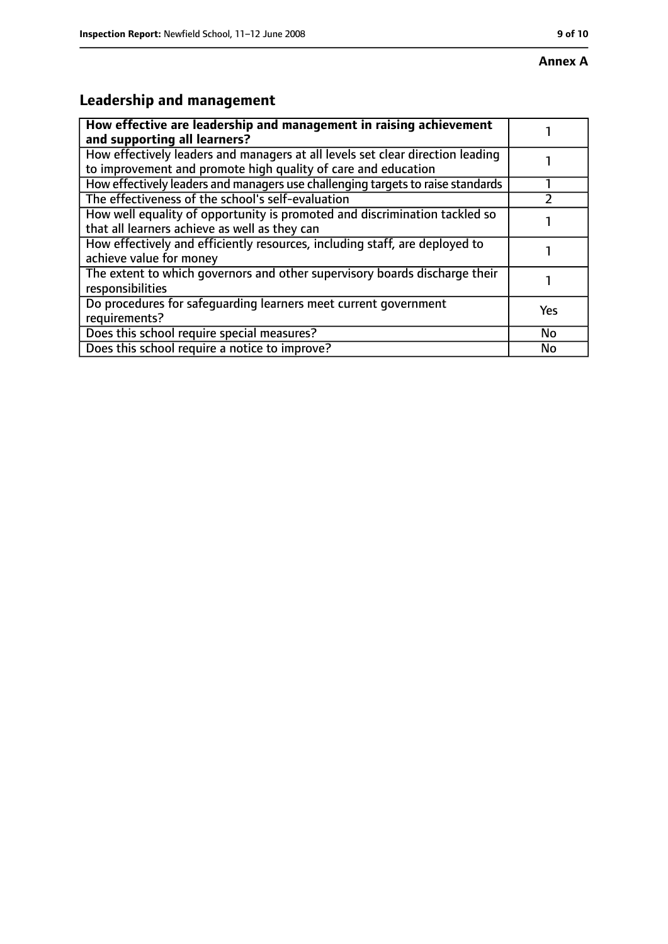# **Annex A**

# **Leadership and management**

| How effective are leadership and management in raising achievement<br>and supporting all learners?                                              |     |
|-------------------------------------------------------------------------------------------------------------------------------------------------|-----|
| How effectively leaders and managers at all levels set clear direction leading<br>to improvement and promote high quality of care and education |     |
| How effectively leaders and managers use challenging targets to raise standards                                                                 |     |
| The effectiveness of the school's self-evaluation                                                                                               |     |
| How well equality of opportunity is promoted and discrimination tackled so<br>that all learners achieve as well as they can                     |     |
| How effectively and efficiently resources, including staff, are deployed to<br>achieve value for money                                          |     |
| The extent to which governors and other supervisory boards discharge their<br>responsibilities                                                  |     |
| Do procedures for safequarding learners meet current government<br>requirements?                                                                | Yes |
| Does this school require special measures?                                                                                                      | No  |
| Does this school require a notice to improve?                                                                                                   | No  |